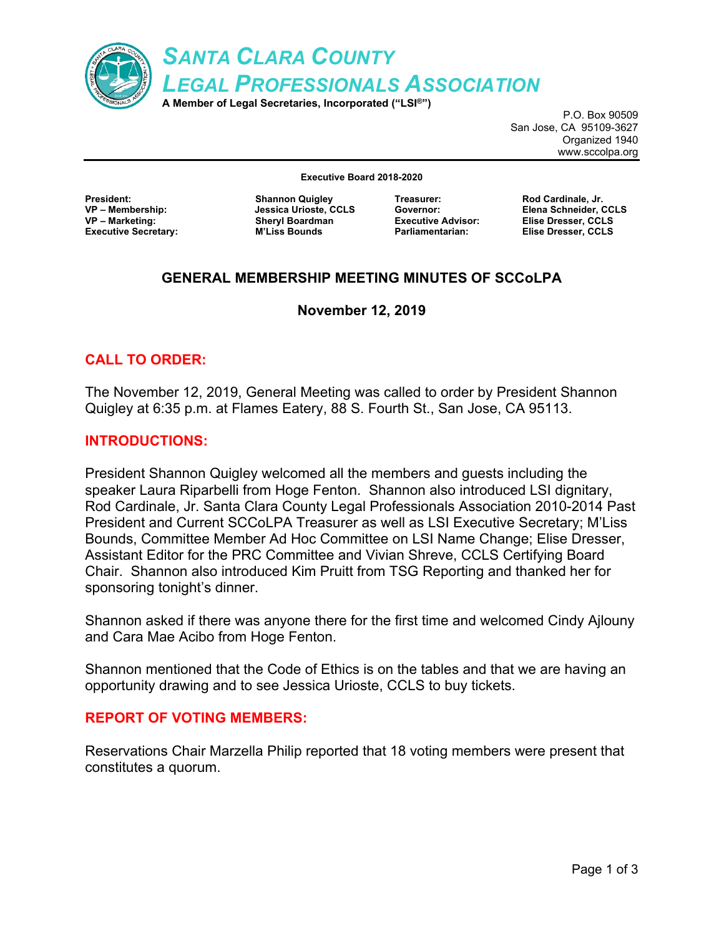

P.O. Box 90509 San Jose, CA 95109-3627 Organized 1940 www.sccolpa.org

**Executive Board 2018-2020**

**President: Shannon Quigley VP – Marketing: Sheryl Boardman Executive Secretary: M'Liss Bounds**

**VP – Membership: Jessica Urioste, CCLS**

**Treasurer: Rod Cardinale, Jr.**

**Governor: Elena Schneider, CCLS Executive Advisor: Elise Dresser, CCLS Parliamentarian: Elise Dresser, CCLS**

# **GENERAL MEMBERSHIP MEETING MINUTES OF SCCoLPA**

# **November 12, 2019**

# **CALL TO ORDER:**

The November 12, 2019, General Meeting was called to order by President Shannon Quigley at 6:35 p.m. at Flames Eatery, 88 S. Fourth St., San Jose, CA 95113.

## **INTRODUCTIONS:**

President Shannon Quigley welcomed all the members and guests including the speaker Laura Riparbelli from Hoge Fenton. Shannon also introduced LSI dignitary, Rod Cardinale, Jr. Santa Clara County Legal Professionals Association 2010-2014 Past President and Current SCCoLPA Treasurer as well as LSI Executive Secretary; M'Liss Bounds, Committee Member Ad Hoc Committee on LSI Name Change; Elise Dresser, Assistant Editor for the PRC Committee and Vivian Shreve, CCLS Certifying Board Chair. Shannon also introduced Kim Pruitt from TSG Reporting and thanked her for sponsoring tonight's dinner.

Shannon asked if there was anyone there for the first time and welcomed Cindy Ajlouny and Cara Mae Acibo from Hoge Fenton.

Shannon mentioned that the Code of Ethics is on the tables and that we are having an opportunity drawing and to see Jessica Urioste, CCLS to buy tickets.

### **REPORT OF VOTING MEMBERS:**

Reservations Chair Marzella Philip reported that 18 voting members were present that constitutes a quorum.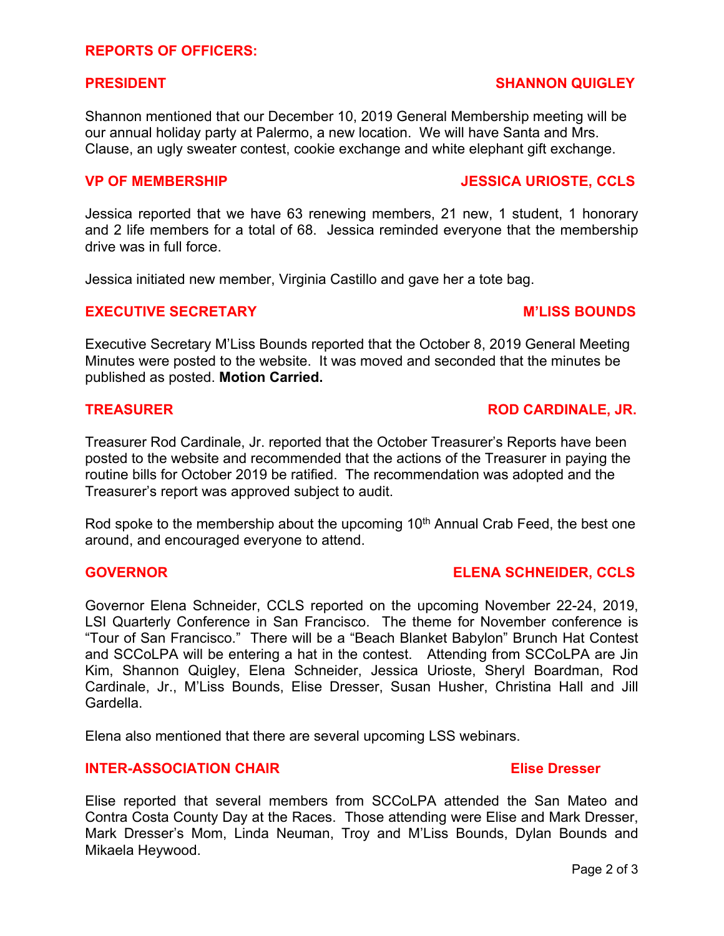Shannon mentioned that our December 10, 2019 General Membership meeting will be our annual holiday party at Palermo, a new location. We will have Santa and Mrs. Clause, an ugly sweater contest, cookie exchange and white elephant gift exchange.

Jessica reported that we have 63 renewing members, 21 new, 1 student, 1 honorary and 2 life members for a total of 68. Jessica reminded everyone that the membership drive was in full force.

Jessica initiated new member, Virginia Castillo and gave her a tote bag.

#### **EXECUTIVE SECRETARY MILLISS BOUNDS**

Executive Secretary M'Liss Bounds reported that the October 8, 2019 General Meeting Minutes were posted to the website. It was moved and seconded that the minutes be published as posted. **Motion Carried.**

Treasurer Rod Cardinale, Jr. reported that the October Treasurer's Reports have been posted to the website and recommended that the actions of the Treasurer in paying the routine bills for October 2019 be ratified. The recommendation was adopted and the Treasurer's report was approved subject to audit.

Rod spoke to the membership about the upcoming 10<sup>th</sup> Annual Crab Feed, the best one around, and encouraged everyone to attend.

### **GOVERNOR ELENA SCHNEIDER, CCLS**

Governor Elena Schneider, CCLS reported on the upcoming November 22-24, 2019, LSI Quarterly Conference in San Francisco. The theme for November conference is "Tour of San Francisco." There will be a "Beach Blanket Babylon" Brunch Hat Contest and SCCoLPA will be entering a hat in the contest. Attending from SCCoLPA are Jin Kim, Shannon Quigley, Elena Schneider, Jessica Urioste, Sheryl Boardman, Rod Cardinale, Jr., M'Liss Bounds, Elise Dresser, Susan Husher, Christina Hall and Jill Gardella.

Elena also mentioned that there are several upcoming LSS webinars.

### **INTER-ASSOCIATION CHAIR Elise Dresser**

Elise reported that several members from SCCoLPA attended the San Mateo and Contra Costa County Day at the Races. Those attending were Elise and Mark Dresser, Mark Dresser's Mom, Linda Neuman, Troy and M'Liss Bounds, Dylan Bounds and Mikaela Heywood.

#### Page 2 of 3

# **PRESIDENT SHANNON QUIGLEY**

### **TREASURER ROD CARDINALE, JR.**

# **VP OF MEMBERSHIP JESSICA URIOSTE, CCLS**